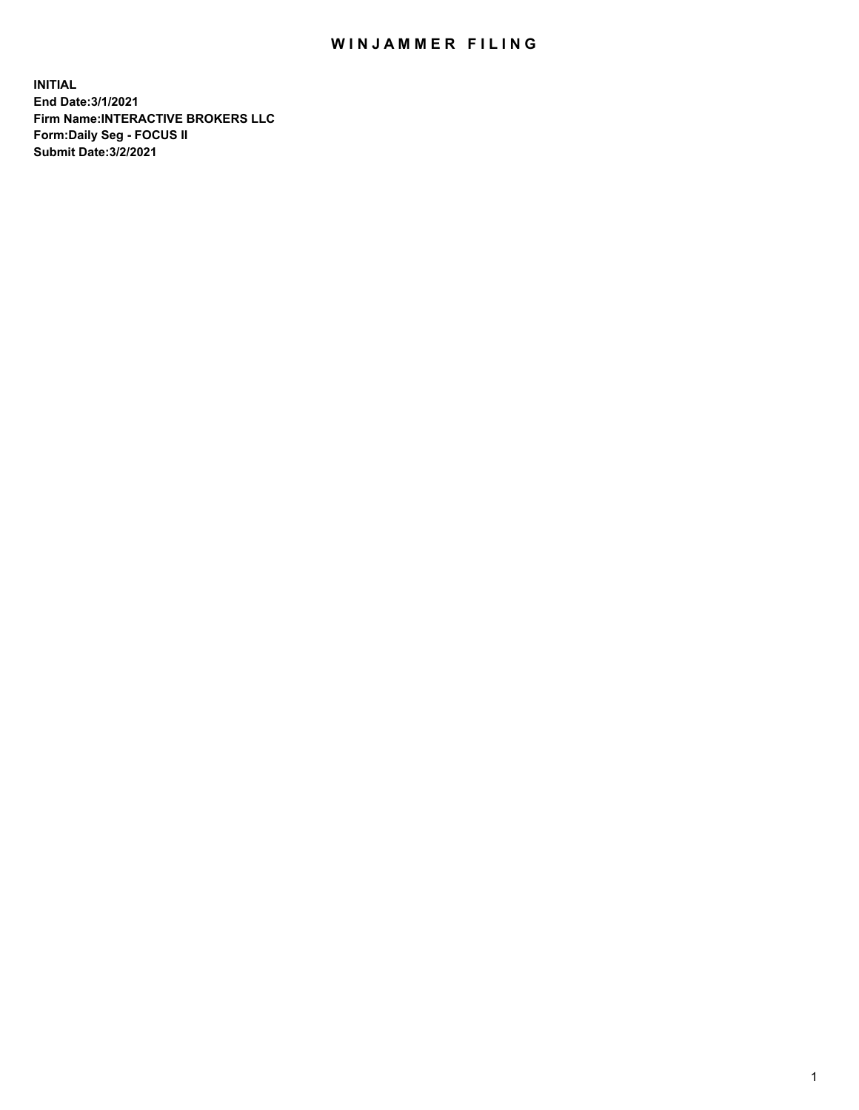## WIN JAMMER FILING

**INITIAL End Date:3/1/2021 Firm Name:INTERACTIVE BROKERS LLC Form:Daily Seg - FOCUS II Submit Date:3/2/2021**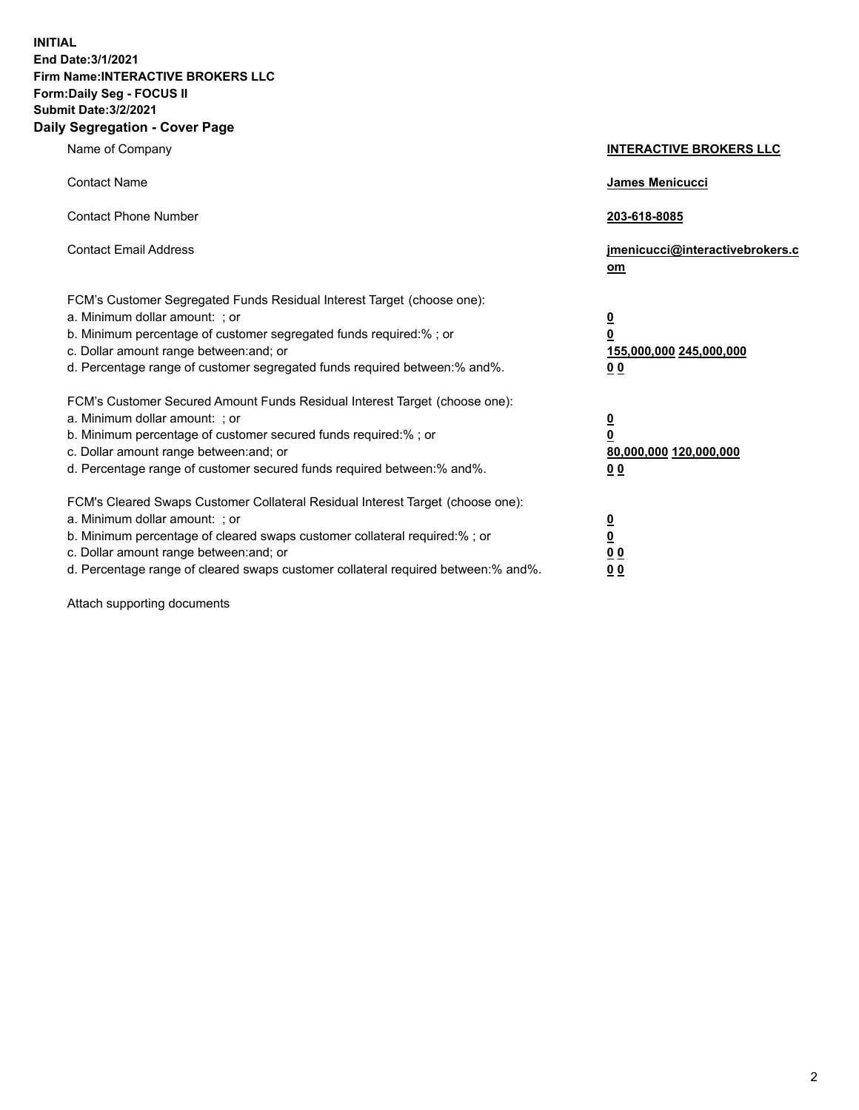**INITIAL End Date:3/1/2021 Firm Name:INTERACTIVE BROKERS LLC Form:Daily Seg - FOCUS II Submit Date:3/2/2021 Daily Segregation - Cover Page**

| Name of Company                                                                                                                                                                                                                                                                                                                | <b>INTERACTIVE BROKERS LLC</b>                                                                  |
|--------------------------------------------------------------------------------------------------------------------------------------------------------------------------------------------------------------------------------------------------------------------------------------------------------------------------------|-------------------------------------------------------------------------------------------------|
| <b>Contact Name</b>                                                                                                                                                                                                                                                                                                            | <b>James Menicucci</b>                                                                          |
| <b>Contact Phone Number</b>                                                                                                                                                                                                                                                                                                    | 203-618-8085                                                                                    |
| <b>Contact Email Address</b>                                                                                                                                                                                                                                                                                                   | jmenicucci@interactivebrokers.c<br>om                                                           |
| FCM's Customer Segregated Funds Residual Interest Target (choose one):<br>a. Minimum dollar amount: ; or<br>b. Minimum percentage of customer segregated funds required:% ; or<br>c. Dollar amount range between: and; or<br>d. Percentage range of customer segregated funds required between:% and%.                         | $\overline{\mathbf{0}}$<br>$\overline{\mathbf{0}}$<br>155,000,000 245,000,000<br>0 <sub>0</sub> |
| FCM's Customer Secured Amount Funds Residual Interest Target (choose one):<br>a. Minimum dollar amount: ; or<br>b. Minimum percentage of customer secured funds required:%; or<br>c. Dollar amount range between: and; or<br>d. Percentage range of customer secured funds required between:% and%.                            | $\overline{\mathbf{0}}$<br>$\overline{\mathbf{0}}$<br>80,000,000 120,000,000<br>0 <sub>0</sub>  |
| FCM's Cleared Swaps Customer Collateral Residual Interest Target (choose one):<br>a. Minimum dollar amount: ; or<br>b. Minimum percentage of cleared swaps customer collateral required:% ; or<br>c. Dollar amount range between: and; or<br>d. Percentage range of cleared swaps customer collateral required between:% and%. | $\frac{0}{0}$<br>0 <sub>0</sub><br>0 <sub>0</sub>                                               |

Attach supporting documents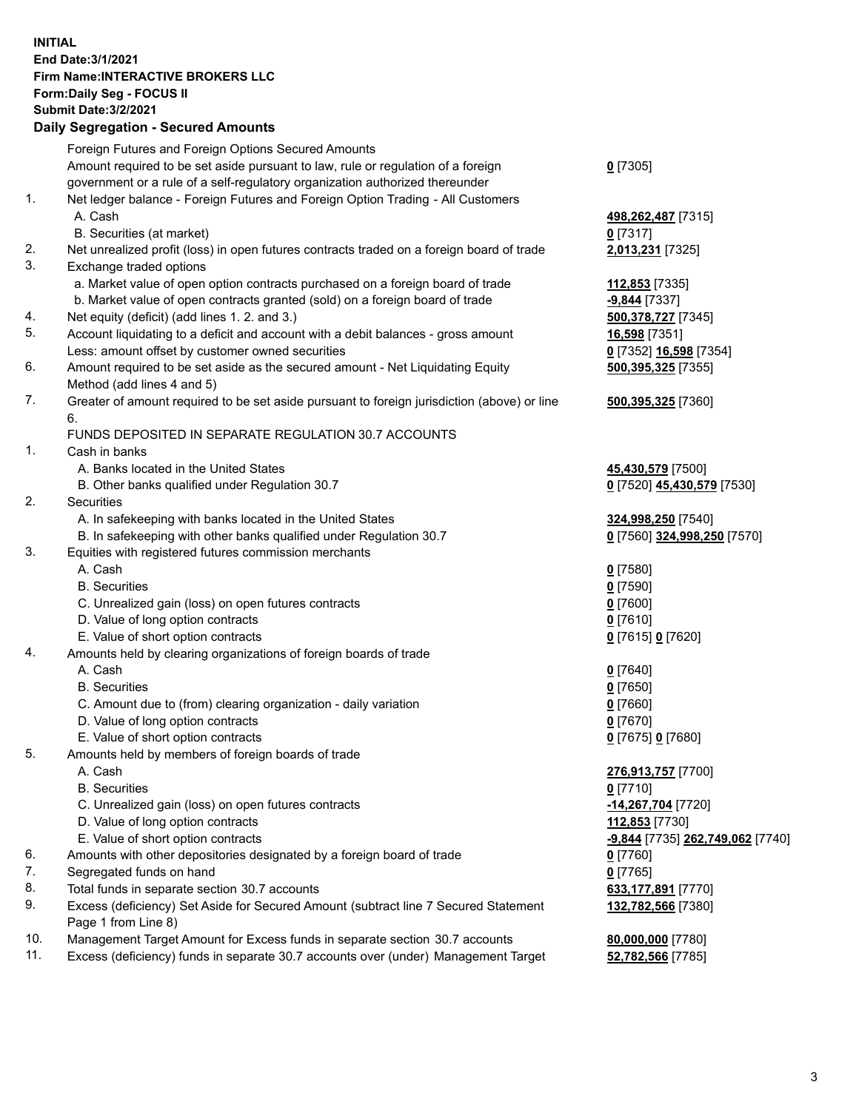## **INITIAL End Date:3/1/2021 Firm Name:INTERACTIVE BROKERS LLC Form:Daily Seg - FOCUS II Submit Date:3/2/2021 Daily Segregation - Secured Amounts**

|                | Dany Ocgregation - Occarea Anioants                                                                        |                                        |
|----------------|------------------------------------------------------------------------------------------------------------|----------------------------------------|
|                | Foreign Futures and Foreign Options Secured Amounts                                                        |                                        |
|                | Amount required to be set aside pursuant to law, rule or regulation of a foreign                           | $0$ [7305]                             |
|                | government or a rule of a self-regulatory organization authorized thereunder                               |                                        |
| 1.             | Net ledger balance - Foreign Futures and Foreign Option Trading - All Customers                            |                                        |
|                | A. Cash                                                                                                    | 498,262,487 [7315]                     |
|                | B. Securities (at market)                                                                                  | $0$ [7317]                             |
| 2.             | Net unrealized profit (loss) in open futures contracts traded on a foreign board of trade                  | 2,013,231 [7325]                       |
| 3.             | Exchange traded options                                                                                    |                                        |
|                | a. Market value of open option contracts purchased on a foreign board of trade                             | 112,853 [7335]                         |
|                | b. Market value of open contracts granted (sold) on a foreign board of trade                               | -9,844 [7337]                          |
| 4.             | Net equity (deficit) (add lines 1. 2. and 3.)                                                              | 500,378,727 [7345]                     |
| 5.             | Account liquidating to a deficit and account with a debit balances - gross amount                          | 16,598 [7351]                          |
|                | Less: amount offset by customer owned securities                                                           | 0 [7352] 16,598 [7354]                 |
| 6.             | Amount required to be set aside as the secured amount - Net Liquidating Equity                             | 500,395,325 [7355]                     |
|                | Method (add lines 4 and 5)                                                                                 |                                        |
| 7.             | Greater of amount required to be set aside pursuant to foreign jurisdiction (above) or line                | 500,395,325 [7360]                     |
|                | 6.                                                                                                         |                                        |
|                | FUNDS DEPOSITED IN SEPARATE REGULATION 30.7 ACCOUNTS                                                       |                                        |
| $\mathbf{1}$ . | Cash in banks                                                                                              |                                        |
|                | A. Banks located in the United States                                                                      | 45,430,579 [7500]                      |
|                | B. Other banks qualified under Regulation 30.7                                                             | 0 [7520] 45,430,579 [7530]             |
| 2.             | Securities                                                                                                 |                                        |
|                | A. In safekeeping with banks located in the United States                                                  | 324,998,250 [7540]                     |
|                | B. In safekeeping with other banks qualified under Regulation 30.7                                         | 0 [7560] 324,998,250 [7570]            |
| 3.             | Equities with registered futures commission merchants                                                      |                                        |
|                | A. Cash                                                                                                    | $0$ [7580]                             |
|                | <b>B.</b> Securities                                                                                       | $0$ [7590]                             |
|                | C. Unrealized gain (loss) on open futures contracts                                                        | $0$ [7600]                             |
|                | D. Value of long option contracts                                                                          | $0$ [7610]                             |
|                | E. Value of short option contracts                                                                         | 0 [7615] 0 [7620]                      |
| 4.             | Amounts held by clearing organizations of foreign boards of trade                                          |                                        |
|                | A. Cash                                                                                                    | $0$ [7640]                             |
|                | <b>B.</b> Securities                                                                                       | $0$ [7650]                             |
|                | C. Amount due to (from) clearing organization - daily variation                                            | $0$ [7660]                             |
|                | D. Value of long option contracts                                                                          | $0$ [7670]                             |
|                | E. Value of short option contracts                                                                         | 0 [7675] 0 [7680]                      |
| 5.             | Amounts held by members of foreign boards of trade                                                         |                                        |
|                | A. Cash                                                                                                    | 276,913,757 [7700]                     |
|                | <b>B.</b> Securities                                                                                       | $0$ [7710]                             |
|                | C. Unrealized gain (loss) on open futures contracts                                                        | -14,267,704 [7720]                     |
|                | D. Value of long option contracts                                                                          | 112,853 [7730]                         |
|                | E. Value of short option contracts                                                                         | -9,844 [7735] 262,749,062 [7740]       |
| 6.<br>7.       | Amounts with other depositories designated by a foreign board of trade                                     | 0 [7760]                               |
| 8.             | Segregated funds on hand                                                                                   | $0$ [7765]                             |
| 9.             | Total funds in separate section 30.7 accounts                                                              | 633,177,891 [7770]                     |
|                | Excess (deficiency) Set Aside for Secured Amount (subtract line 7 Secured Statement<br>Page 1 from Line 8) | 132,782,566 [7380]                     |
| 10.            | Management Target Amount for Excess funds in separate section 30.7 accounts                                |                                        |
| 11.            | Excess (deficiency) funds in separate 30.7 accounts over (under) Management Target                         | 80,000,000 [7780]<br>52,782,566 [7785] |
|                |                                                                                                            |                                        |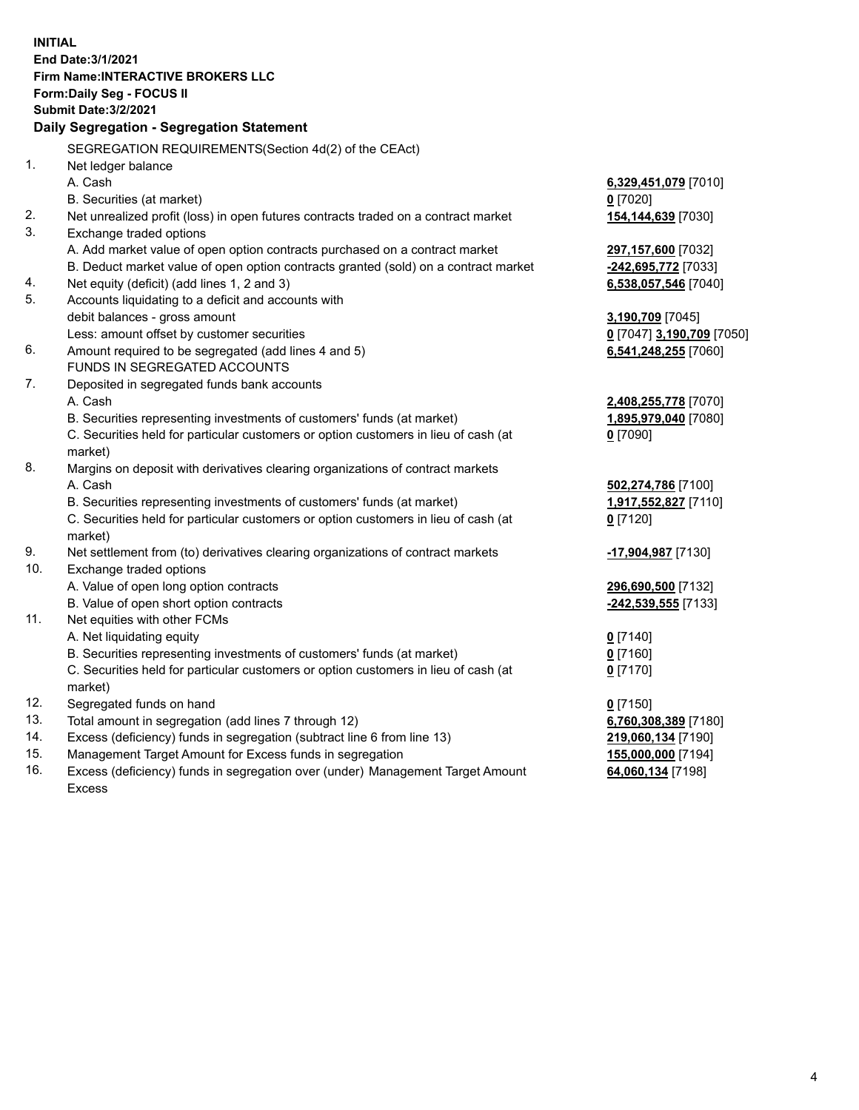**INITIAL End Date:3/1/2021 Firm Name:INTERACTIVE BROKERS LLC Form:Daily Seg - FOCUS II Submit Date:3/2/2021 Daily Segregation - Segregation Statement** SEGREGATION REQUIREMENTS(Section 4d(2) of the CEAct) 1. Net ledger balance A. Cash **6,329,451,079** [7010] B. Securities (at market) **0** [7020] 2. Net unrealized profit (loss) in open futures contracts traded on a contract market **154,144,639** [7030] 3. Exchange traded options A. Add market value of open option contracts purchased on a contract market **297,157,600** [7032] B. Deduct market value of open option contracts granted (sold) on a contract market **-242,695,772** [7033] 4. Net equity (deficit) (add lines 1, 2 and 3) **6,538,057,546** [7040] 5. Accounts liquidating to a deficit and accounts with debit balances - gross amount **3,190,709** [7045] Less: amount offset by customer securities **0** [7047] **3,190,709** [7050] 6. Amount required to be segregated (add lines 4 and 5) **6,541,248,255** [7060] FUNDS IN SEGREGATED ACCOUNTS 7. Deposited in segregated funds bank accounts A. Cash **2,408,255,778** [7070] B. Securities representing investments of customers' funds (at market) **1,895,979,040** [7080] C. Securities held for particular customers or option customers in lieu of cash (at market) **0** [7090] 8. Margins on deposit with derivatives clearing organizations of contract markets A. Cash **502,274,786** [7100] B. Securities representing investments of customers' funds (at market) **1,917,552,827** [7110] C. Securities held for particular customers or option customers in lieu of cash (at market) **0** [7120] 9. Net settlement from (to) derivatives clearing organizations of contract markets **-17,904,987** [7130] 10. Exchange traded options A. Value of open long option contracts **296,690,500** [7132] B. Value of open short option contracts **-242,539,555** [7133] 11. Net equities with other FCMs A. Net liquidating equity **0** [7140] B. Securities representing investments of customers' funds (at market) **0** [7160] C. Securities held for particular customers or option customers in lieu of cash (at market) **0** [7170] 12. Segregated funds on hand **0** [7150] 13. Total amount in segregation (add lines 7 through 12) **6,760,308,389** [7180] 14. Excess (deficiency) funds in segregation (subtract line 6 from line 13) **219,060,134** [7190] 15. Management Target Amount for Excess funds in segregation **155,000,000** [7194] 16. Excess (deficiency) funds in segregation over (under) Management Target Amount **64,060,134** [7198]

Excess